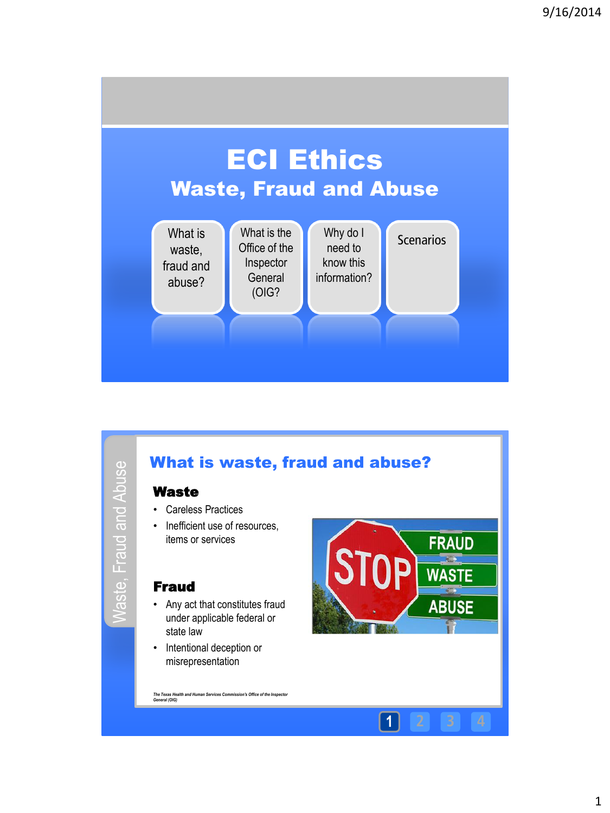



*The Texas Health and Human Services Commission's Office of the Inspector General (OIG)* 



**1 2 3 4**

1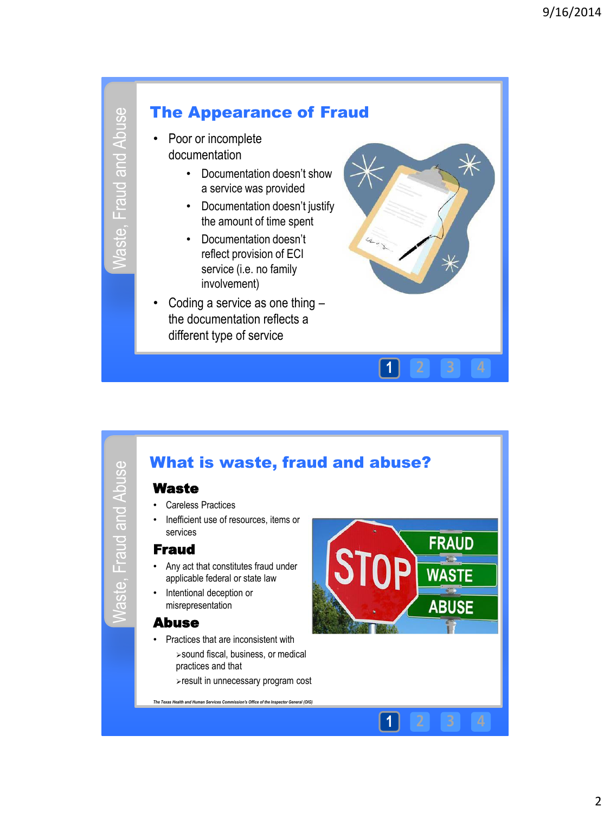



• Coding a service as one thing – the documentation reflects a different type of service





#### 2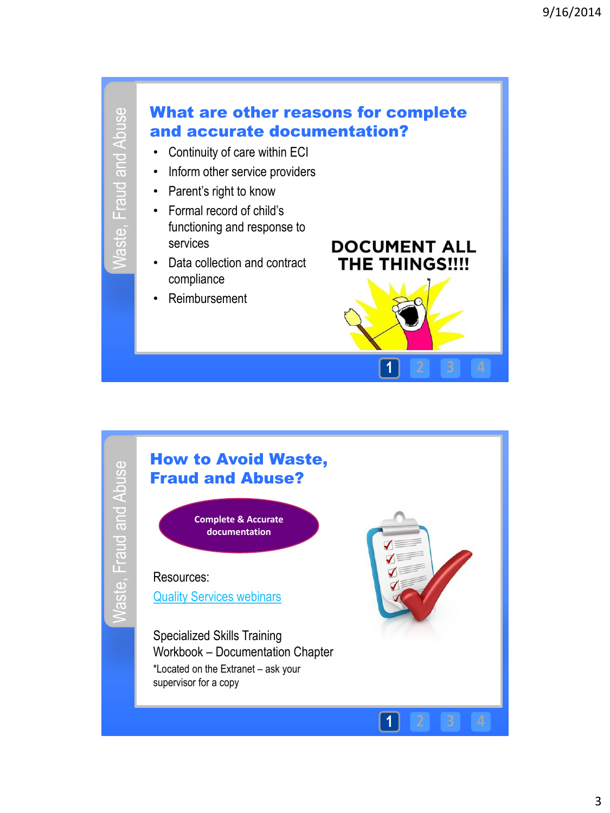

# **Naste, Fraud and Abuse** Waste, Fraud and Abuse



**1 2 3 4**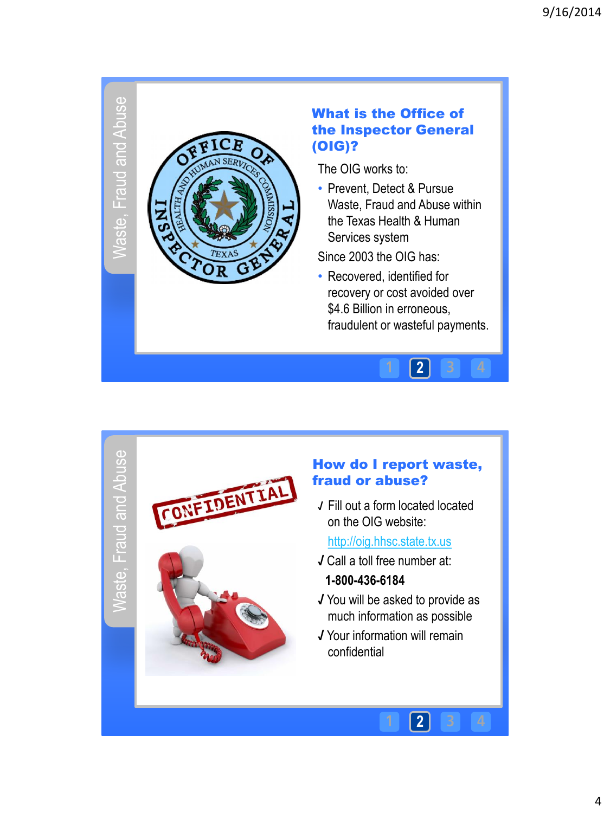## Vaste, Fraud and Abuse Waste, Fraud and Abuse



#### What is the Office of the Inspector General (OIG)?

The OIG works to:

• Prevent, Detect & Pursue Waste, Fraud and Abuse within the Texas Health & Human Services system

Since 2003 the OIG has:

• Recovered, identified for recovery or cost avoided over \$4.6 Billion in erroneous, fraudulent or wasteful payments.

**2**

**2**

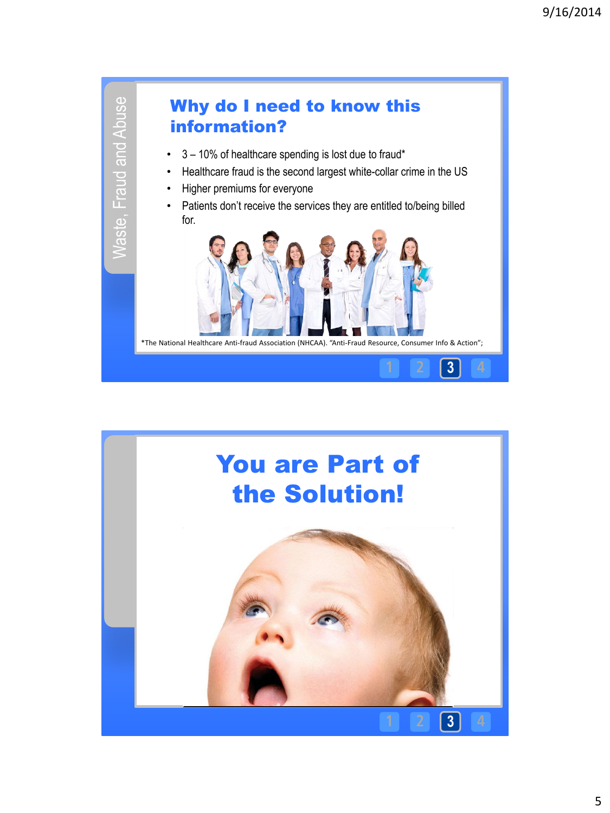

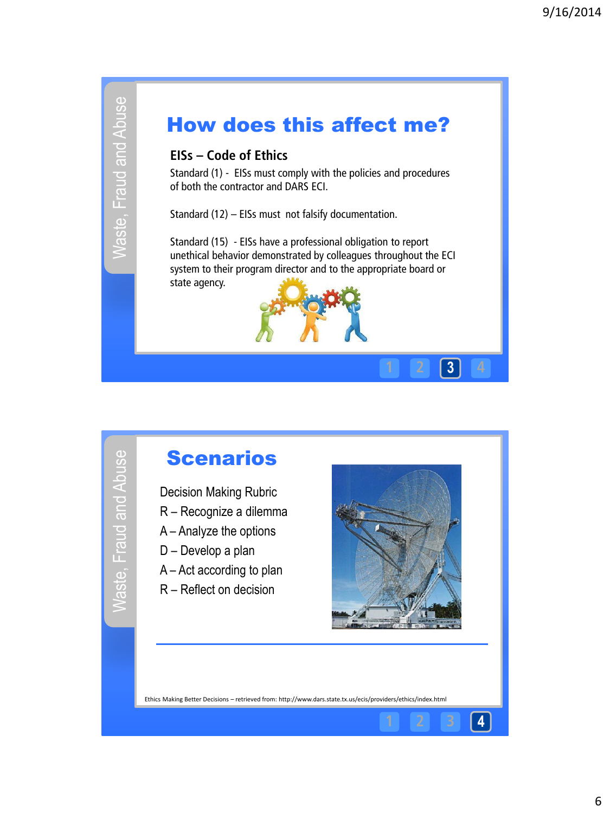# Waste, Fraud and Abuse Waste, Fraud and Abuse

### How does this affect me?

#### **EISs – Code of Ethics**

Standard (1) - EISs must comply with the policies and procedures of both the contractor and DARS ECI.

Standard (12) – EISs must not falsify documentation.

Standard (15) - EISs have a professional obligation to report unethical behavior demonstrated by colleagues throughout the ECI system to their program director and to the appropriate board or state agency.



# Waste, Fraud and Abuse Waste, Fraud and Abuse

### **Scenarios**

Decision Making Rubric

- R Recognize a dilemma
- A Analyze the options
- D Develop a plan
- A Act according to plan
- R Reflect on decision



**1 2 3 4**

**1 2 3 4**

Ethics Making Better Decisions – retrieved from: http://www.dars.state.tx.us/ecis/providers/ethics/index.html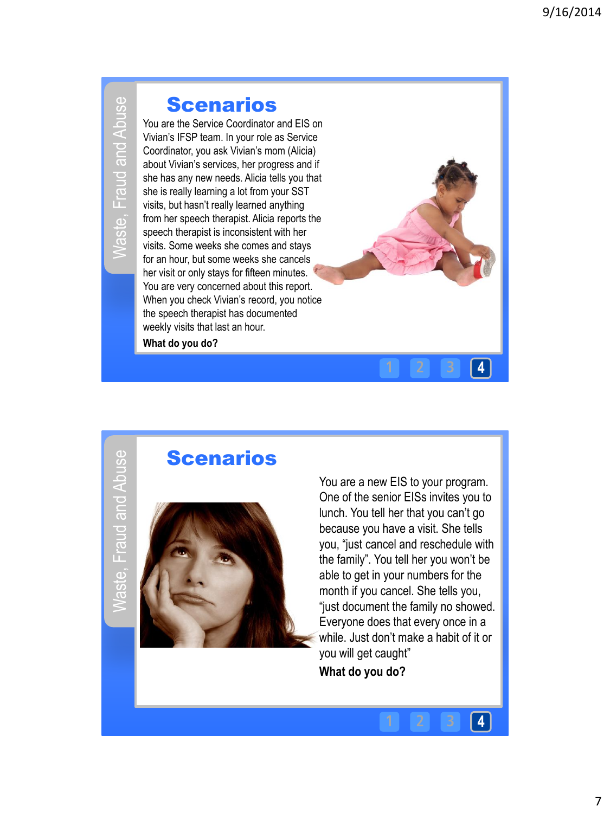# Naste, Fraud and Abuse Waste, Fraud and Abuse

#### **Scenarios**

You are the Service Coordinator and EIS on Vivian's IFSP team. In your role as Service Coordinator, you ask Vivian's mom (Alicia) about Vivian's services, her progress and if she has any new needs. Alicia tells you that she is really learning a lot from your SST visits, but hasn't really learned anything from her speech therapist. Alicia reports the speech therapist is inconsistent with her visits. Some weeks she comes and stays for an hour, but some weeks she cancels her visit or only stays for fifteen minutes. You are very concerned about this report. When you check Vivian's record, you notice the speech therapist has documented weekly visits that last an hour. **What do you do?** 

Vaste, Fraud and Abuse Waste, Fraud and Abuse

#### **Scenarios**



You are a new EIS to your program. One of the senior EISs invites you to lunch. You tell her that you can't go because you have a visit. She tells you, "just cancel and reschedule with the family". You tell her you won't be able to get in your numbers for the month if you cancel. She tells you, "just document the family no showed. Everyone does that every once in a while. Just don't make a habit of it or you will get caught"

**1 2 3 4**

**1 2 3 4**

**What do you do?**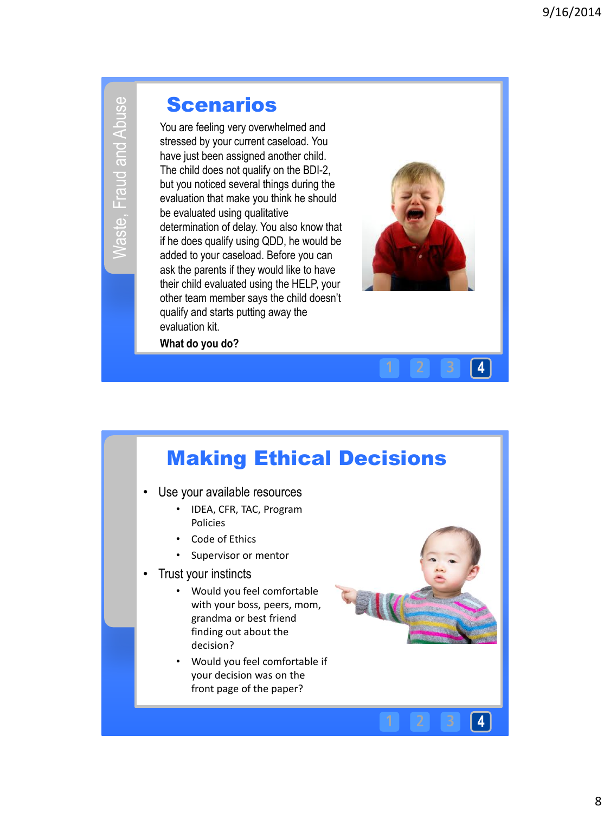# Waste, Fraud and Abuse Waste, Fraud and Abuse

#### **Scenarios**

You are feeling very overwhelmed and stressed by your current caseload. You have just been assigned another child. The child does not qualify on the BDI-2, but you noticed several things during the evaluation that make you think he should be evaluated using qualitative determination of delay. You also know that if he does qualify using QDD, he would be added to your caseload. Before you can ask the parents if they would like to have their child evaluated using the HELP, your other team member says the child doesn't qualify and starts putting away the evaluation kit.

**What do you do?** 



**1 2 3 4**